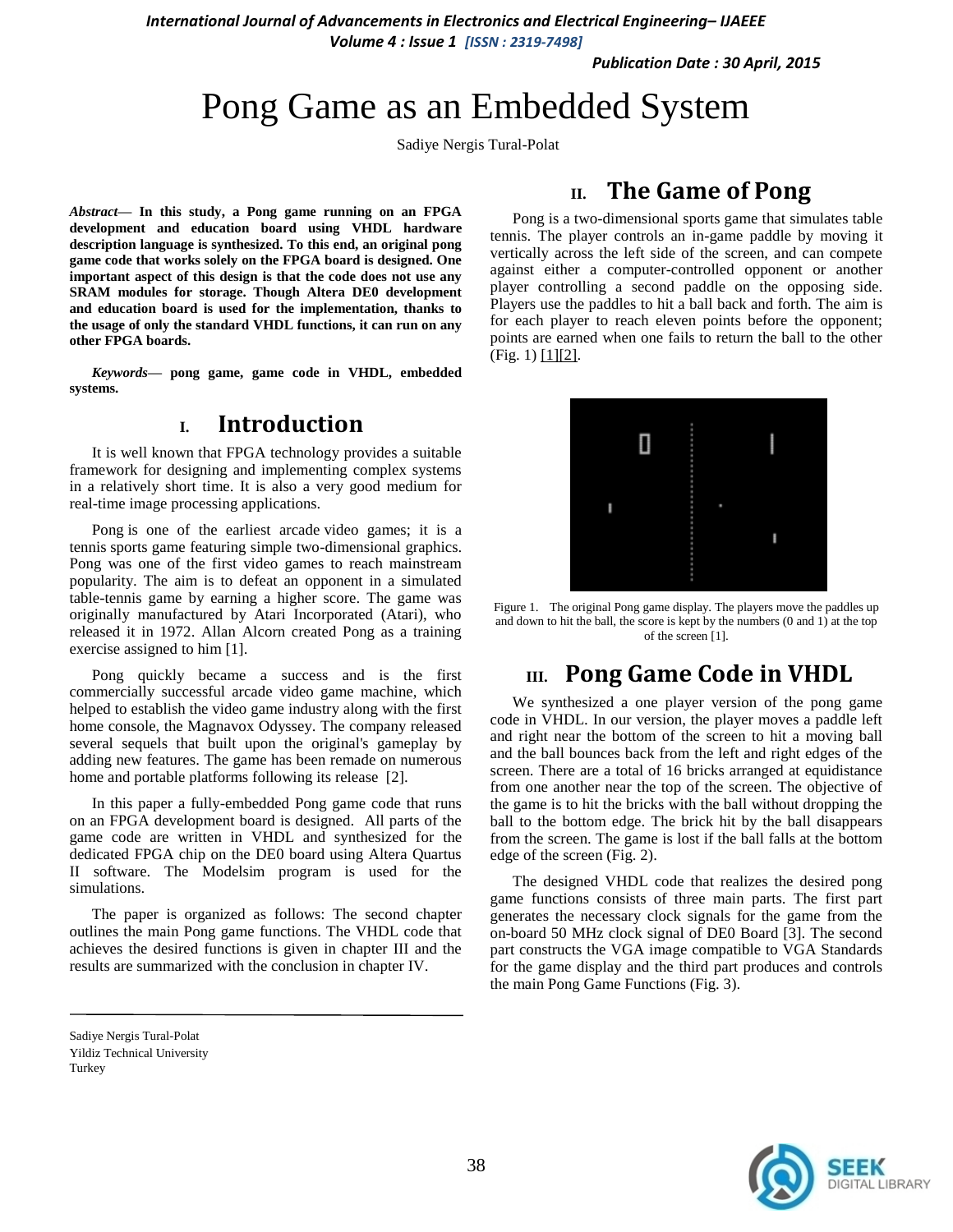*International Journal of Advancements in Electronics and Electrical Engineering– IJAEEE*

*Volume 4 : Issue 1 [ISSN : 2319-7498]* 

*Publication Date : 30 April, 2015*

# Pong Game as an Embedded System

Sadiye Nergis Tural-Polat

*Abstract***— In this study, a Pong game running on an FPGA development and education board using VHDL hardware description language is synthesized. To this end, an original pong game code that works solely on the FPGA board is designed. One important aspect of this design is that the code does not use any SRAM modules for storage. Though Altera DE0 development and education board is used for the implementation, thanks to the usage of only the standard VHDL functions, it can run on any other FPGA boards.**

*Keywords—* **pong game, game code in VHDL, embedded systems.**

### **I. Introduction**

It is well known that FPGA technology provides a suitable framework for designing and implementing complex systems in a relatively short time. It is also a very good medium for real-time image processing applications.

Pong is one of the earliest arcade video games; it is a tennis sports game featuring simple two-dimensional graphics. Pong was one of the first video games to reach mainstream popularity. The aim is to defeat an opponent in a simulated table-tennis game by earning a higher score. The game was originally manufactured by Atari Incorporated (Atari), who released it in 1972. Allan Alcorn created Pong as a training exercise assigned to him [1].

Pong quickly became a success and is the first commercially successful arcade video game machine, which helped to establish the video game industry along with the first home console, the Magnavox Odyssey. The company released several sequels that built upon the original's gameplay by adding new features. The game has been remade on numerous home and portable platforms following its release [2].

In this paper a fully-embedded Pong game code that runs on an FPGA development board is designed. All parts of the game code are written in VHDL and synthesized for the dedicated FPGA chip on the DE0 board using Altera Quartus II software. The Modelsim program is used for the simulations.

The paper is organized as follows: The second chapter outlines the main Pong game functions. The VHDL code that achieves the desired functions is given in chapter III and the results are summarized with the conclusion in chapter IV.

# **II. The Game of Pong**

Pong is a two-dimensional sports game that simulates table tennis. The player controls an in-game paddle by moving it vertically across the left side of the screen, and can compete against either a computer-controlled opponent or another player controlling a second paddle on the opposing side. Players use the paddles to hit a ball back and forth. The aim is for each player to reach eleven points before the opponent; points are earned when one fails to return the ball to the other  $(Fig. 1)$   $[1][2]$ .



Figure 1. The original Pong game display. The players move the paddles up and down to hit the ball, the score is kept by the numbers (0 and 1) at the top of the screen [1].

## **III. Pong Game Code in VHDL**

We synthesized a one player version of the pong game code in VHDL. In our version, the player moves a paddle left and right near the bottom of the screen to hit a moving ball and the ball bounces back from the left and right edges of the screen. There are a total of 16 bricks arranged at equidistance from one another near the top of the screen. The objective of the game is to hit the bricks with the ball without dropping the ball to the bottom edge. The brick hit by the ball disappears from the screen. The game is lost if the ball falls at the bottom edge of the screen (Fig. 2).

The designed VHDL code that realizes the desired pong game functions consists of three main parts. The first part generates the necessary clock signals for the game from the on-board 50 MHz clock signal of DE0 Board [3]. The second part constructs the VGA image compatible to VGA Standards for the game display and the third part produces and controls the main Pong Game Functions (Fig. 3).



Sadiye Nergis Tural-Polat Yildiz Technical University Turkey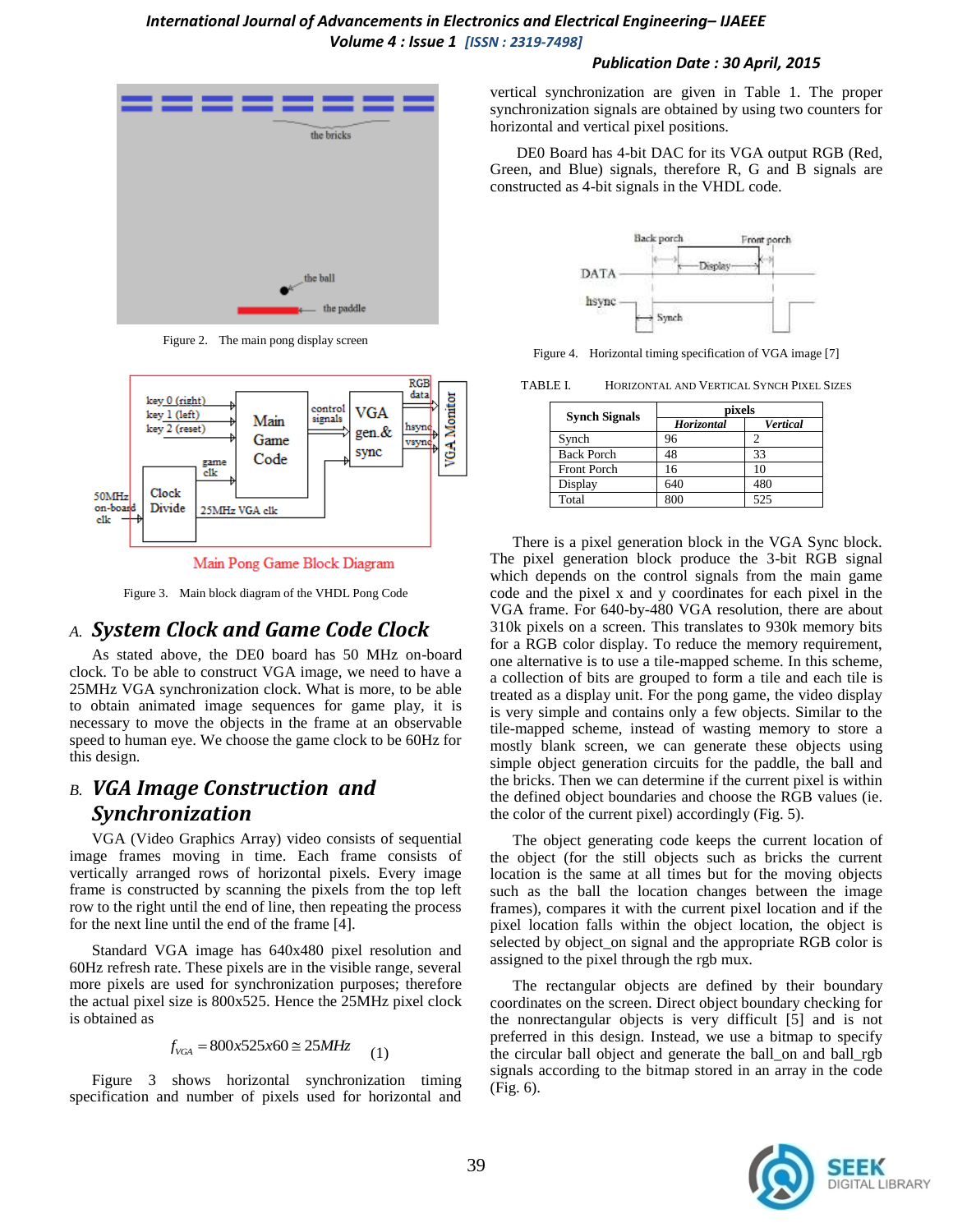#### *International Journal of Advancements in Electronics and Electrical Engineering– IJAEEE Volume 4 : Issue 1 [ISSN : 2319-7498]*

#### *Publication Date : 30 April, 2015*



Figure 2. The main pong display screen



Main Pong Game Block Diagram

Figure 3. Main block diagram of the VHDL Pong Code

### *A. System Clock and Game Code Clock*

As stated above, the DE0 board has 50 MHz on-board clock. To be able to construct VGA image, we need to have a 25MHz VGA synchronization clock. What is more, to be able to obtain animated image sequences for game play, it is necessary to move the objects in the frame at an observable speed to human eye. We choose the game clock to be 60Hz for this design.

### *B. VGA Image Construction and Synchronization*

VGA (Video Graphics Array) video consists of sequential image frames moving in time. Each frame consists of vertically arranged rows of horizontal pixels. Every image frame is constructed by scanning the pixels from the top left row to the right until the end of line, then repeating the process for the next line until the end of the frame [4].

Standard VGA image has 640x480 pixel resolution and 60Hz refresh rate. These pixels are in the visible range, several more pixels are used for synchronization purposes; therefore the actual pixel size is 800x525. Hence the 25MHz pixel clock is obtained as

$$
f_{VGA} = 800x525x60 \approx 25MHz \tag{1}
$$

Figure 3 shows horizontal synchronization timing specification and number of pixels used for horizontal and vertical synchronization are given in Table 1. The proper synchronization signals are obtained by using two counters for horizontal and vertical pixel positions.

DE0 Board has 4-bit DAC for its VGA output RGB (Red, Green, and Blue) signals, therefore R, G and B signals are constructed as 4-bit signals in the VHDL code.



Figure 4. Horizontal timing specification of VGA image [7]

TABLE I. HORIZONTAL AND VERTICAL SYNCH PIXEL SIZES

| <b>Synch Signals</b> | pixels     |          |
|----------------------|------------|----------|
|                      | Horizontal | Vertical |
| Synch                | 96         |          |
| <b>Back Porch</b>    | 48         | 33       |
| <b>Front Porch</b>   | 16         | 10       |
| Display              | 640        | 480      |
| Total                | 800        | 525      |

There is a pixel generation block in the VGA Sync block. The pixel generation block produce the 3-bit RGB signal which depends on the control signals from the main game code and the pixel x and y coordinates for each pixel in the VGA frame. For 640-by-480 VGA resolution, there are about 310k pixels on a screen. This translates to 930k memory bits for a RGB color display. To reduce the memory requirement, one alternative is to use a tile-mapped scheme. In this scheme, a collection of bits are grouped to form a tile and each tile is treated as a display unit. For the pong game, the video display is very simple and contains only a few objects. Similar to the tile-mapped scheme, instead of wasting memory to store a mostly blank screen, we can generate these objects using simple object generation circuits for the paddle, the ball and the bricks. Then we can determine if the current pixel is within the defined object boundaries and choose the RGB values (ie. the color of the current pixel) accordingly (Fig. 5).

The object generating code keeps the current location of the object (for the still objects such as bricks the current location is the same at all times but for the moving objects such as the ball the location changes between the image frames), compares it with the current pixel location and if the pixel location falls within the object location, the object is selected by object\_on signal and the appropriate RGB color is assigned to the pixel through the rgb mux.

The rectangular objects are defined by their boundary coordinates on the screen. Direct object boundary checking for the nonrectangular objects is very difficult [5] and is not preferred in this design. Instead, we use a bitmap to specify the circular ball object and generate the ball\_on and ball\_rgb signals according to the bitmap stored in an array in the code (Fig. 6).

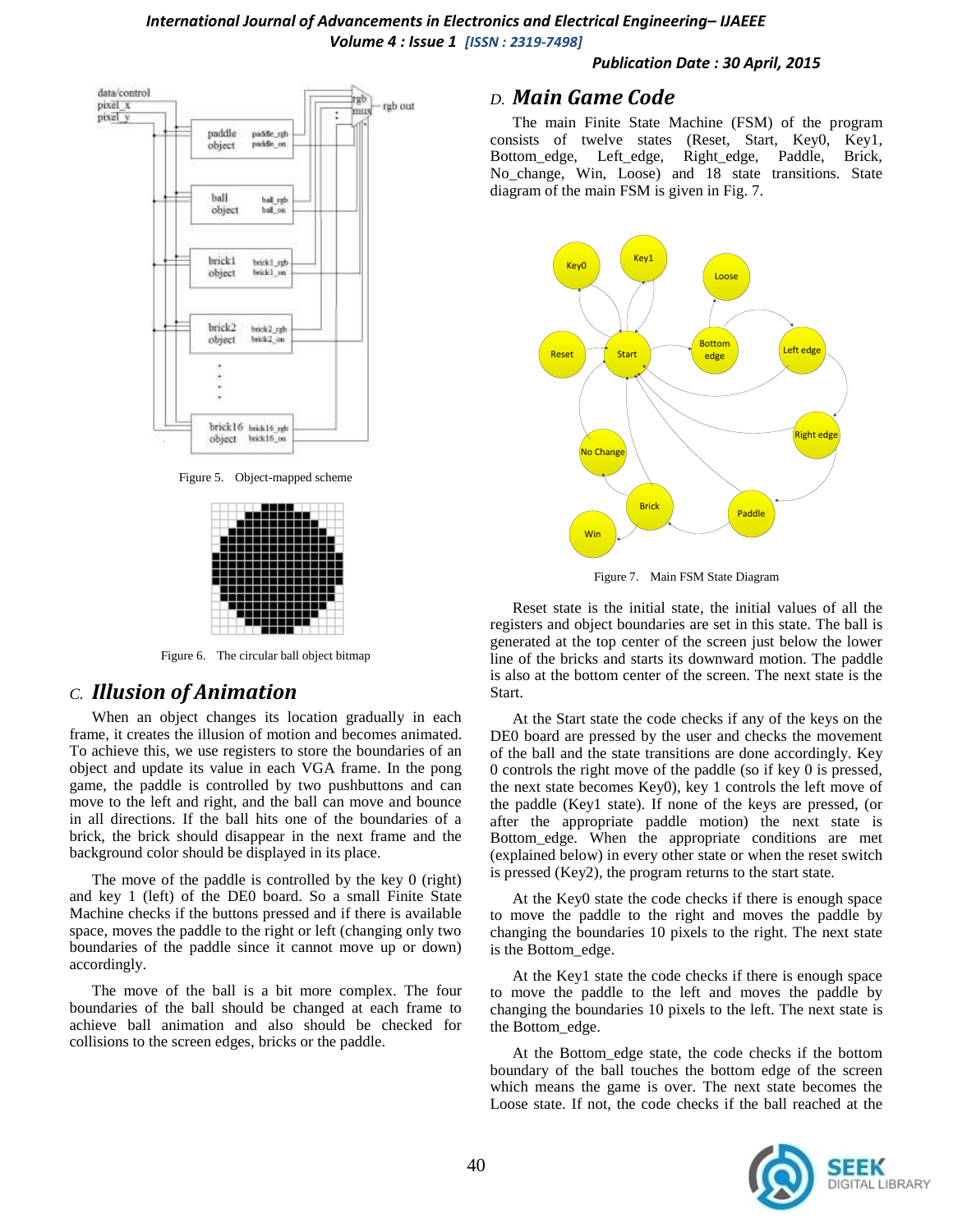



Figure 5. Object-mapped scheme



Figure 6. The circular ball object bitmap

### *C. Illusion of Animation*

When an object changes its location gradually in each frame, it creates the illusion of motion and becomes animated. To achieve this, we use registers to store the boundaries of an object and update its value in each VGA frame. In the pong game, the paddle is controlled by two pushbuttons and can move to the left and right, and the ball can move and bounce in all directions. If the ball hits one of the boundaries of a brick, the brick should disappear in the next frame and the background color should be displayed in its place.

The move of the paddle is controlled by the key 0 (right) and key 1 (left) of the DE0 board. So a small Finite State Machine checks if the buttons pressed and if there is available space, moves the paddle to the right or left (changing only two boundaries of the paddle since it cannot move up or down) accordingly.

The move of the ball is a bit more complex. The four boundaries of the ball should be changed at each frame to achieve ball animation and also should be checked for collisions to the screen edges, bricks or the paddle.

#### *D. Main Game Code*

The main Finite State Machine (FSM) of the program consists of twelve states (Reset, Start, Key0, Key1, Bottom\_edge, Left\_edge, Right\_edge, Paddle, Brick, No\_change, Win, Loose) and 18 state transitions. State diagram of the main FSM is given in Fig. 7.



Figure 7. Main FSM State Diagram

Reset state is the initial state, the initial values of all the registers and object boundaries are set in this state. The ball is generated at the top center of the screen just below the lower line of the bricks and starts its downward motion. The paddle is also at the bottom center of the screen. The next state is the Start.

At the Start state the code checks if any of the keys on the DE0 board are pressed by the user and checks the movement of the ball and the state transitions are done accordingly. Key 0 controls the right move of the paddle (so if key 0 is pressed, the next state becomes Key0), key 1 controls the left move of the paddle (Key1 state). If none of the keys are pressed, (or after the appropriate paddle motion) the next state is Bottom\_edge. When the appropriate conditions are met (explained below) in every other state or when the reset switch is pressed (Key2), the program returns to the start state.

At the Key0 state the code checks if there is enough space to move the paddle to the right and moves the paddle by changing the boundaries 10 pixels to the right. The next state is the Bottom\_edge.

At the Key1 state the code checks if there is enough space to move the paddle to the left and moves the paddle by changing the boundaries 10 pixels to the left. The next state is the Bottom\_edge.

At the Bottom\_edge state, the code checks if the bottom boundary of the ball touches the bottom edge of the screen which means the game is over. The next state becomes the Loose state. If not, the code checks if the ball reached at the

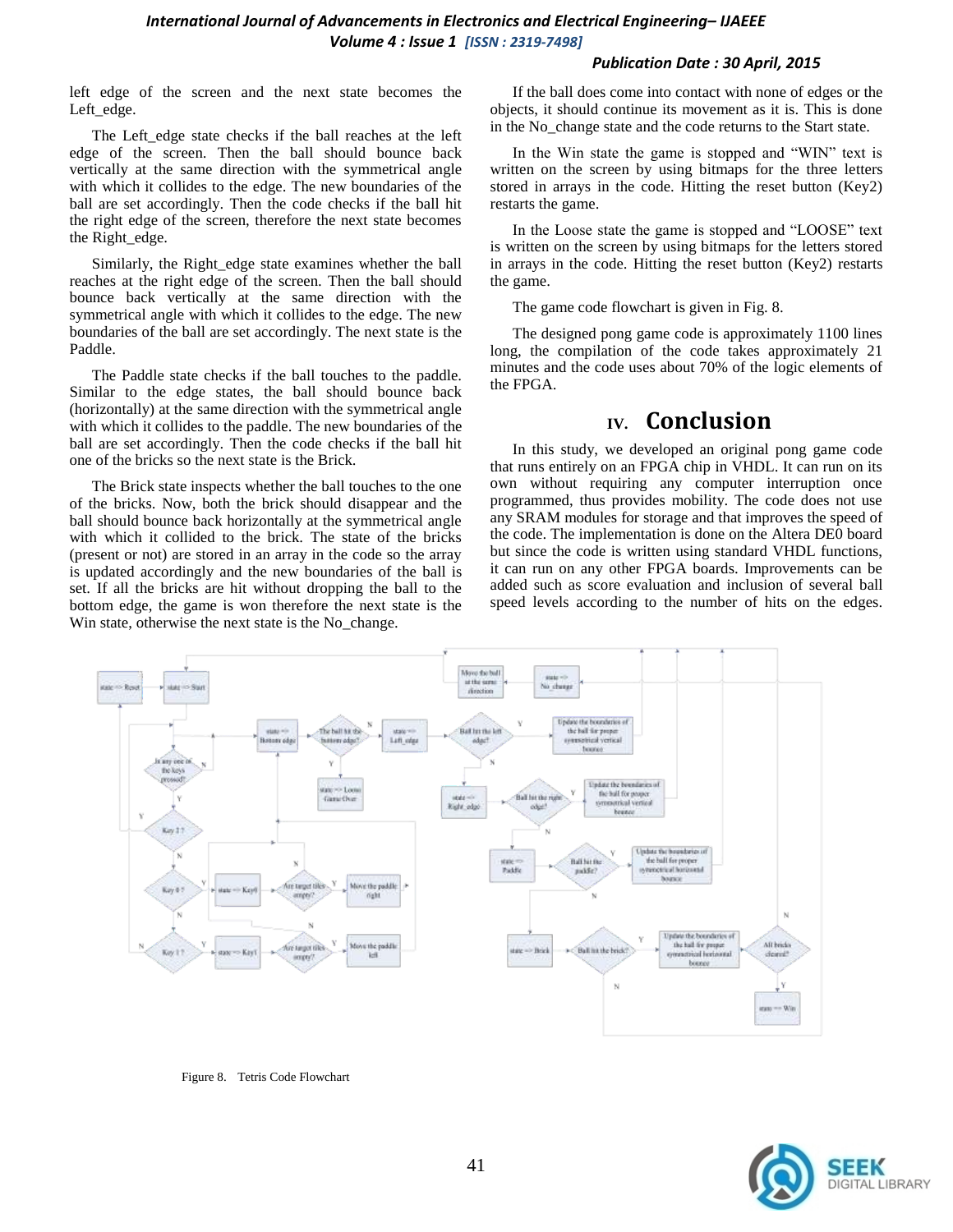#### *International Journal of Advancements in Electronics and Electrical Engineering– IJAEEE Volume 4 : Issue 1 [ISSN : 2319-7498]*

#### *Publication Date : 30 April, 2015*

left edge of the screen and the next state becomes the Left\_edge.

The Left\_edge state checks if the ball reaches at the left edge of the screen. Then the ball should bounce back vertically at the same direction with the symmetrical angle with which it collides to the edge. The new boundaries of the ball are set accordingly. Then the code checks if the ball hit the right edge of the screen, therefore the next state becomes the Right\_edge.

Similarly, the Right\_edge state examines whether the ball reaches at the right edge of the screen. Then the ball should bounce back vertically at the same direction with the symmetrical angle with which it collides to the edge. The new boundaries of the ball are set accordingly. The next state is the Paddle.

The Paddle state checks if the ball touches to the paddle. Similar to the edge states, the ball should bounce back (horizontally) at the same direction with the symmetrical angle with which it collides to the paddle. The new boundaries of the ball are set accordingly. Then the code checks if the ball hit one of the bricks so the next state is the Brick.

The Brick state inspects whether the ball touches to the one of the bricks. Now, both the brick should disappear and the ball should bounce back horizontally at the symmetrical angle with which it collided to the brick. The state of the bricks (present or not) are stored in an array in the code so the array is updated accordingly and the new boundaries of the ball is set. If all the bricks are hit without dropping the ball to the bottom edge, the game is won therefore the next state is the Win state, otherwise the next state is the No\_change.

If the ball does come into contact with none of edges or the objects, it should continue its movement as it is. This is done in the No\_change state and the code returns to the Start state.

In the Win state the game is stopped and "WIN" text is written on the screen by using bitmaps for the three letters stored in arrays in the code. Hitting the reset button (Key2) restarts the game.

In the Loose state the game is stopped and "LOOSE" text is written on the screen by using bitmaps for the letters stored in arrays in the code. Hitting the reset button (Key2) restarts the game.

The game code flowchart is given in Fig. 8.

The designed pong game code is approximately 1100 lines long, the compilation of the code takes approximately 21 minutes and the code uses about 70% of the logic elements of the FPGA.

### **IV. Conclusion**

In this study, we developed an original pong game code that runs entirely on an FPGA chip in VHDL. It can run on its own without requiring any computer interruption once programmed, thus provides mobility. The code does not use any SRAM modules for storage and that improves the speed of the code. The implementation is done on the Altera DE0 board but since the code is written using standard VHDL functions, it can run on any other FPGA boards. Improvements can be added such as score evaluation and inclusion of several ball speed levels according to the number of hits on the edges.



Figure 8. Tetris Code Flowchart